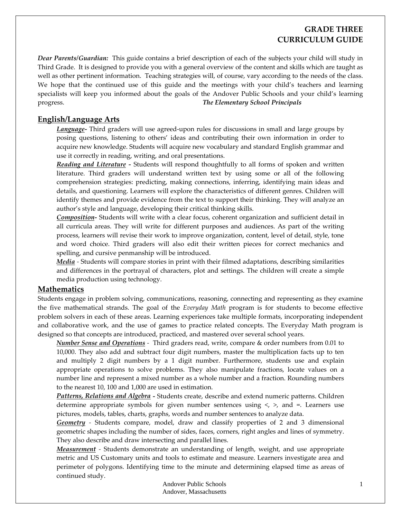# **GRADE THREE CURRICULUM GUIDE**

*Dear Parents/Guardian:* This guide contains a brief description of each of the subjects your child will study in Third Grade. It is designed to provide you with a general overview of the content and skills which are taught as well as other pertinent information. Teaching strategies will, of course, vary according to the needs of the class. We hope that the continued use of this guide and the meetings with your child's teachers and learning specialists will keep you informed about the goals of the Andover Public Schools and your child's learning progress. *The Elementary School Principals*

### **English/Language Arts**

*Language*<sup></sup> Third graders will use agreed-upon rules for discussions in small and large groups by posing questions, listening to others' ideas and contributing their own information in order to acquire new knowledge. Students will acquire new vocabulary and standard English grammar and use it correctly in reading, writing, and oral presentations.

*Reading and Literature ‐* Students will respond thoughtfully to all forms of spoken and written literature. Third graders will understand written text by using some or all of the following comprehension strategies: predicting, making connections, inferring, identifying main ideas and details, and questioning. Learners will explore the characteristics of different genres. Children will identify themes and provide evidence from the text to support their thinking. They will analyze an author's style and language, developing their critical thinking skills.

*Composition‐* Students will write with a clear focus, coherent organization and sufficient detail in all curricula areas. They will write for different purposes and audiences. As part of the writing process, learners will revise their work to improve organization, content, level of detail, style, tone and word choice. Third graders will also edit their written pieces for correct mechanics and spelling, and cursive penmanship will be introduced.

*Media ‐* Students will compare stories in print with their filmed adaptations, describing similarities and differences in the portrayal of characters, plot and settings. The children will create a simple media production using technology.

#### **Mathematics**

Students engage in problem solving, communications, reasoning, connecting and representing as they examine the five mathematical strands. The goal of the *Everyday Math* program is for students to become effective problem solvers in each of these areas. Learning experiences take multiple formats, incorporating independent and collaborative work, and the use of games to practice related concepts. The Everyday Math program is designed so that concepts are introduced, practiced, and mastered over several school years.

*Number Sense and Operations ‐*  Third graders read, write, compare & order numbers from 0.01 to 10,000. They also add and subtract four digit numbers, master the multiplication facts up to ten and multiply 2 digit numbers by a 1 digit number. Furthermore, students use and explain appropriate operations to solve problems. They also manipulate fractions, locate values on a number line and represent a mixed number as a whole number and a fraction. Rounding numbers to the nearest 10, 100 and 1,000 are used in estimation.

*Patterns, Relations and Algebra ‐* Students create, describe and extend numeric patterns. Children determine appropriate symbols for given number sentences using  $\lt$ ,  $\gt$ , and  $\approx$ . Learners use pictures, models, tables, charts, graphs, words and number sentences to analyze data.

*Geometry ‐*  Students compare, model, draw and classify properties of 2 and 3 dimensional geometric shapes including the number of sides, faces, corners, right angles and lines of symmetry. They also describe and draw intersecting and parallel lines.

*Measurement* - Students demonstrate an understanding of length, weight, and use appropriate metric and US Customary units and tools to estimate and measure. Learners investigate area and perimeter of polygons. Identifying time to the minute and determining elapsed time as areas of continued study.

> Andover Public Schools Andover, Massachusetts